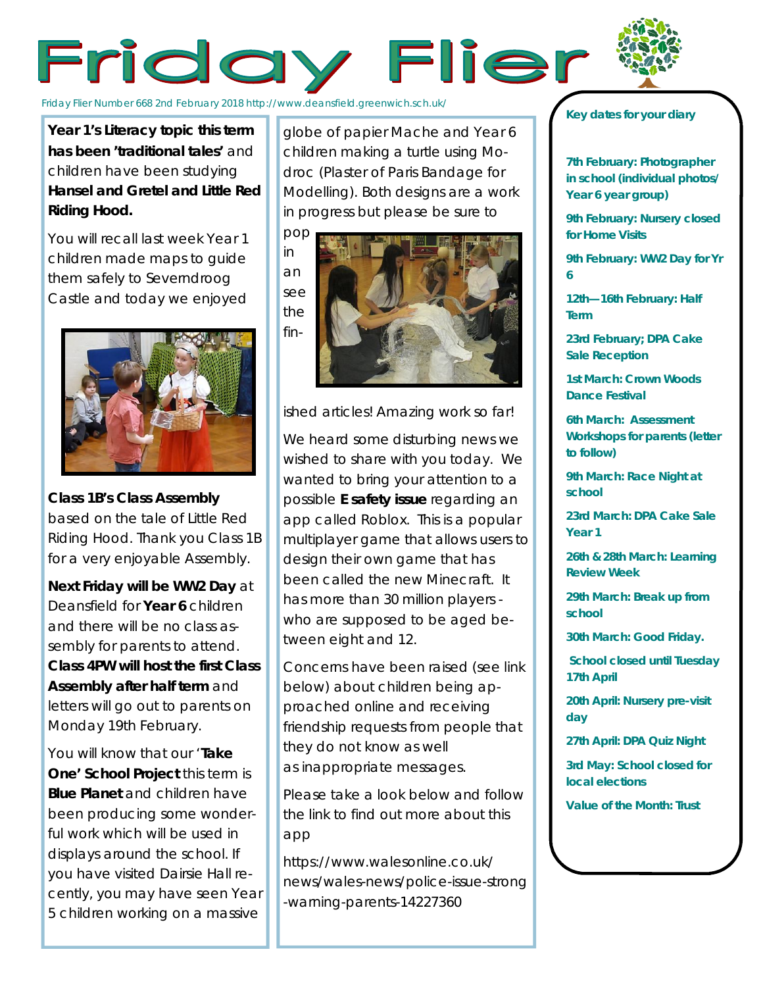## Friday Flier

Friday Flier Number 668 2nd February 2018 http://www.deansfield.greenwich.sch.uk/

**Year 1's Literacy topic this term has been 'traditional tales'** and children have been studying **Hansel and Gretel and Little Red Riding Hood.**

You will recall last week Year 1 children made maps to guide them safely to Severndroog Castle and today we enjoyed



**Class 1B's Class Assembly**  based on the tale of Little Red Riding Hood. Thank you Class 1B for a very enjoyable Assembly.

**Next Friday will be WW2 Day** at Deansfield for **Year 6** children and there will be no class assembly for parents to attend. **Class 4PW will host the first Class Assembly after half term** and letters will go out to parents on Monday 19th February.

You will know that our '**Take One' School Project** this term is **Blue Planet** and children have been producing some wonderful work which will be used in displays around the school. If you have visited Dairsie Hall recently, you may have seen Year 5 children working on a massive

globe of papier Mache and Year 6 children making a turtle using Modroc (Plaster of Paris Bandage for Modelling). Both designs are a work in progress but please be sure to



ished articles! Amazing work so far!

We heard some disturbing news we wished to share with you today. We wanted to bring your attention to a possible **E safety issue** regarding an app called Roblox. This is a popular multiplayer game that allows users to design their own game that has been called the new Minecraft. It has more than 30 million players who are supposed to be aged between eight and 12.

Concerns have been raised (see link below) about children being approached online and receiving friendship requests from people that they do not know as well as inappropriate messages.

Please take a look below and follow the link to find out more about this app

https://www.walesonline.co.uk/ news/wales-news/police-issue-strong -warning-parents-14227360

## *Key dates for your diary*

**7th February: Photographer in school (individual photos/ Year 6 year group)**

**9th February: Nursery closed for Home Visits**

**9th February: WW2 Day for Yr 6**

**12th—16th February: Half Term**

**23rd February; DPA Cake Sale Reception**

**1st March: Crown Woods Dance Festival**

*6th March: Assessment Workshops for parents (letter to follow)*

**9th March: Race Night at school**

**23rd March: DPA Cake Sale Year 1**

**26th & 28th March: Learning Review Week**

**29th March: Break up from school**

**30th March: Good Friday.**

**School closed until Tuesday 17th April**

**20th April: Nursery pre-visit day**

**27th April: DPA Quiz Night**

**3rd May: School closed for local elections**

**Value of the Month: Trust**